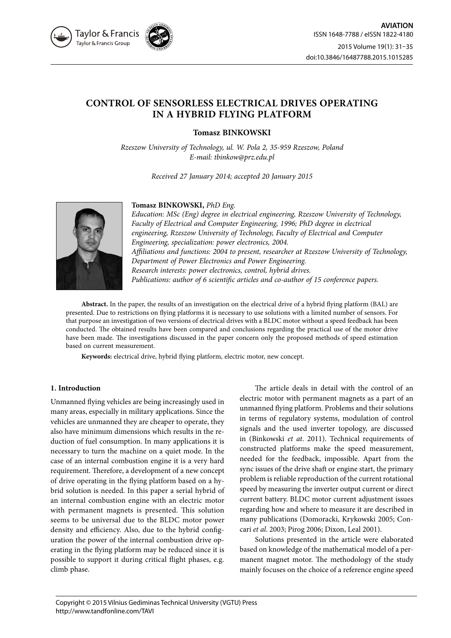

# **CONTROL OF SENSORLESS ELECTRICAL DRIVES OPERATING IN A HYBRID FLYING PLATFORM**

**Tomasz BINKOWSKI**

*Rzeszow University of Technology, ul. W. Pola 2, 35-959 Rzeszow, Poland E-mail: tbinkow@prz.edu.pl*

*Received 27 January 2014; accepted 20 January 2015*



## **Tomasz BINKOWSKI,** *PhD Eng.*

*Education: MSc (Eng) degree in electrical engineering, Rzeszow University of Technology, Faculty of Electrical and Computer Engineering, 1996; PhD degree in electrical engineering, Rzeszow University of Technology, Faculty of Electrical and Computer Engineering, specialization: power electronics, 2004. Affiliations and functions: 2004 to present, researcher at Rzeszow University of Technology, Department of Power Electronics and Power Engineering. Research interests: power electronics, control, hybrid drives. Publications: author of 6 scientific articles and co-author of 15 conference papers.*

**Abstract.** In the paper, the results of an investigation on the electrical drive of a hybrid flying platform (BAL) are presented. Due to restrictions on flying platforms it is necessary to use solutions with a limited number of sensors. For that purpose an investigation of two versions of electrical drives with a BLDC motor without a speed feedback has been conducted. The obtained results have been compared and conclusions regarding the practical use of the motor drive have been made. The investigations discussed in the paper concern only the proposed methods of speed estimation based on current measurement.

**Keywords:** electrical drive, hybrid flying platform, electric motor, new concept.

## **1. Introduction**

Unmanned flying vehicles are being increasingly used in many areas, especially in military applications. Since the vehicles are unmanned they are cheaper to operate, they also have minimum dimensions which results in the reduction of fuel consumption. In many applications it is necessary to turn the machine on a quiet mode. In the case of an internal combustion engine it is a very hard requirement. Therefore, a development of a new concept of drive operating in the flying platform based on a hybrid solution is needed. In this paper a serial hybrid of an internal combustion engine with an electric motor with permanent magnets is presented. This solution seems to be universal due to the BLDC motor power density and efficiency. Also, due to the hybrid configuration the power of the internal combustion drive operating in the flying platform may be reduced since it is possible to support it during critical flight phases, e.g. climb phase.

The article deals in detail with the control of an electric motor with permanent magnets as a part of an unmanned flying platform. Problems and their solutions in terms of regulatory systems, modulation of control signals and the used inverter topology, are discussed in (Binkowski *et at*. 2011). Technical requirements of constructed platforms make the speed measurement, needed for the feedback, impossible. Apart from the sync issues of the drive shaft or engine start, the primary problem is reliable reproduction of the current rotational speed by measuring the inverter output current or direct current battery. BLDC motor current adjustment issues regarding how and where to measure it are described in many publications (Domoracki, Krykowski 2005; Concari *et al*. 2003; Pirog 2006; Dixon, Leal 2001).

Solutions presented in the article were elaborated based on knowledge of the mathematical model of a permanent magnet motor. The methodology of the study mainly focuses on the choice of a reference engine speed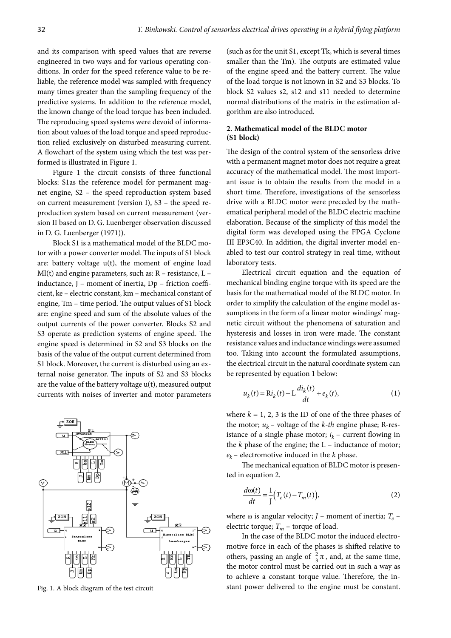and its comparison with speed values that are reverse engineered in two ways and for various operating conditions. In order for the speed reference value to be reliable, the reference model was sampled with frequency many times greater than the sampling frequency of the predictive systems. In addition to the reference model, the known change of the load torque has been included. The reproducing speed systems were devoid of information about values of the load torque and speed reproduction relied exclusively on disturbed measuring current. A flowchart of the system using which the test was performed is illustrated in Figure 1.

Figure 1 the circuit consists of three functional blocks: S1as the reference model for permanent magnet engine, S2 – the speed reproduction system based on current measurement (version I), S3 – the speed reproduction system based on current measurement (version II based on D. G. Luenberger observation discussed in D. G. Luenberger (1971)).

Block S1 is a mathematical model of the BLDC motor with a power converter model. The inputs of S1 block are: battery voltage u(t), the moment of engine load Ml(t) and engine parameters, such as: R – resistance, L – inductance, J – moment of inertia, Dp – friction coefficient, ke – electric constant, km – mechanical constant of engine, Tm – time period. The output values of S1 block are: engine speed and sum of the absolute values of the output currents of the power converter. Blocks S2 and S3 operate as prediction systems of engine speed. The engine speed is determined in S2 and S3 blocks on the basis of the value of the output current determined from S1 block. Moreover, the current is disturbed using an external noise generator. The inputs of S2 and S3 blocks are the value of the battery voltage u(t), measured output currents with noises of inverter and motor parameters



(such as for the unit S1, except Tk, which is several times smaller than the Tm). The outputs are estimated value of the engine speed and the battery current. The value of the load torque is not known in S2 and S3 blocks. To block S2 values s2, s12 and s11 needed to determine normal distributions of the matrix in the estimation algorithm are also introduced.

## **2. Mathematical model of the BLDC motor (S1 block)**

The design of the control system of the sensorless drive with a permanent magnet motor does not require a great accuracy of the mathematical model. The most important issue is to obtain the results from the model in a short time. Therefore, investigations of the sensorless drive with a BLDC motor were preceded by the mathematical peripheral model of the BLDC electric machine elaboration. Because of the simplicity of this model the digital form was developed using the FPGA Cyclone III EP3C40. In addition, the digital inverter model enabled to test our control strategy in real time, without laboratory tests.

Electrical circuit equation and the equation of mechanical binding engine torque with its speed are the basis for the mathematical model of the BLDC motor. In order to simplify the calculation of the engine model assumptions in the form of a linear motor windings' magnetic circuit without the phenomena of saturation and hysteresis and losses in iron were made. The constant resistance values and inductance windings were assumed too. Taking into account the formulated assumptions, the electrical circuit in the natural coordinate system can be represented by equation 1 below:

$$
u_k(t) = Ri_k(t) + L\frac{di_k(t)}{dt} + e_k(t),
$$
 (1)

where  $k = 1, 2, 3$  is the ID of one of the three phases of the motor;  $u_k$  – voltage of the *k*-th engine phase; R-resistance of a single phase motor;  $i_k$  – current flowing in the  $k$  phase of the engine; the  $L$  – inductance of motor;  $e_k$  – electromotive induced in the *k* phase.

The mechanical equation of BLDC motor is presented in equation 2.

$$
\frac{d\omega(t)}{dt} = \frac{1}{J}\Big(T_e(t) - T_m(t)\Big),\tag{2}
$$

where  $\omega$  is angular velocity; *J* – moment of inertia;  $T_e$  – electric torque;  $T_m$  – torque of load.

In the case of the BLDC motor the induced electromotive force in each of the phases is shifted relative to others, passing an angle of  $\frac{2}{3}\pi$ , and, at the same time, the motor control must be carried out in such a way as to achieve a constant torque value. Therefore, the in-Fig. 1. A block diagram of the test circuit stant power delivered to the engine must be constant.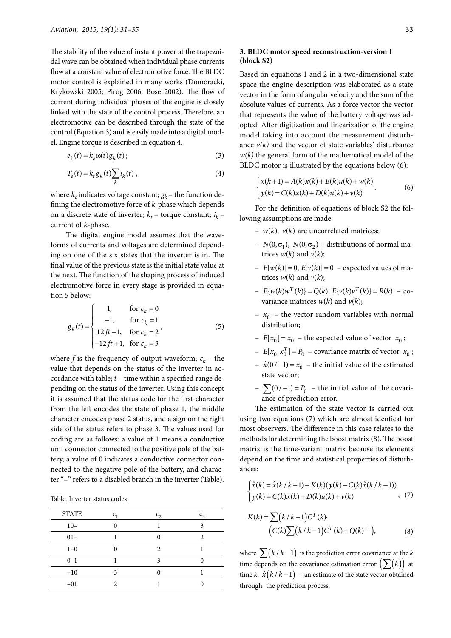The stability of the value of instant power at the trapezoidal wave can be obtained when individual phase currents flow at a constant value of electromotive force. The BLDC motor control is explained in many works (Domoracki, Krykowski 2005; Pirog 2006; Bose 2002). The flow of current during individual phases of the engine is closely linked with the state of the control process. Therefore, an electromotive can be described through the state of the control (Equation 3) and is easily made into a digital model. Engine torque is described in equation 4.

$$
e_k(t) = k_e \omega(t) g_k(t); \tag{3}
$$

$$
T_e(t) = k_t g_k(t) \sum_k i_k(t) , \qquad (4)
$$

where  $k_e$  indicates voltage constant;  $g_k$  – the function defining the electromotive force of *k*-phase which depends on a discrete state of inverter;  $k_t$  – torque constant;  $i_k$  – current of *k*-phase.

The digital engine model assumes that the waveforms of currents and voltages are determined depending on one of the six states that the inverter is in. The final value of the previous state is the initial state value at the next. The function of the shaping process of induced electromotive force in every stage is provided in equation 5 below:

$$
g_k(t) = \begin{cases} 1, & \text{for } c_k = 0 \\ -1, & \text{for } c_k = 1 \\ 12ft - 1, & \text{for } c_k = 2 \\ -12ft + 1, & \text{for } c_k = 3 \end{cases}
$$
(5)

where *f* is the frequency of output waveform;  $c_k$  – the value that depends on the status of the inverter in accordance with table; *t* – time within a specified range depending on the status of the inverter. Using this concept it is assumed that the status code for the first character from the left encodes the state of phase 1, the middle character encodes phase 2 status, and a sign on the right side of the status refers to phase 3. The values used for coding are as follows: a value of 1 means a conductive unit connector connected to the positive pole of the battery, a value of 0 indicates a conductive connector connected to the negative pole of the battery, and character "–" refers to a disabled branch in the inverter (Table).

Table. Inverter status codes

| <b>STATE</b> | $c_{1}$ | $c_2$ | $c_3$ |
|--------------|---------|-------|-------|
| $10 -$       |         |       |       |
| $01 -$       |         |       | 2     |
| $1 - 0$      |         | 2     |       |
| $0 - 1$      |         | 3     |       |
| $-10$        | 3       |       |       |
| $-01$        |         |       |       |

### **3. BLDC motor speed reconstruction-version I (block S2)**

Based on equations 1 and 2 in a two-dimensional state space the engine description was elaborated as a state vector in the form of angular velocity and the sum of the absolute values of currents. As a force vector the vector that represents the value of the battery voltage was adopted. After digitization and linearization of the engine model taking into account the measurement disturbance  $v(k)$  and the vector of state variables' disturbance *w(k)* the general form of the mathematical model of the BLDC motor is illustrated by the equations below (6):

$$
\begin{cases} x(k+1) = A(k)x(k) + B(k)u(k) + w(k) \\ y(k) = C(k)x(k) + D(k)u(k) + v(k) \end{cases}
$$
 (6)

For the definition of equations of block S2 the following assumptions are made:

- $w(k)$ ,  $v(k)$  are uncorrelated matrices;
- $N(0, \sigma_1)$ ,  $N(0, \sigma_2)$  distributions of normal matrices  $w(k)$  and  $v(k)$ ;
- $E[w(k)] = 0$ ,  $E[v(k)] = 0$  expected values of matrices  $w(k)$  and  $v(k)$ ;
- $E\{ w(k) w^T(k) \} = Q(k), E\{ v(k) v^T(k) \} = R(k) \text{co-}$ variance matrices  $w(k)$  and  $v(k)$ ;
- $x_0$  the vector random variables with normal distribution;
- $E[x_0] = x_0$  the expected value of vector  $x_0$ ;
- $E[x_0 \ x_0^T] = P_0$  covariance matrix of vector  $x_0$ ;
- $\hat{x}$ (0 / −1) =  $x_0$  the initial value of the estimated state vector;
- $\sum (0 / -1) = P_0$  the initial value of the covariance of prediction error.

The estimation of the state vector is carried out using two equations (7) which are almost identical for most observers. The difference in this case relates to the methods for determining the boost matrix (8). The boost matrix is the time-variant matrix because its elements depend on the time and statistical properties of disturbances:

$$
\begin{cases} \hat{x}(k) = \hat{x}(k/k - 1) + K(k)(y(k) - C(k)\hat{x}(k/k - 1)) \\ y(k) = C(k)x(k) + D(k)u(k) + v(k) \end{cases}
$$
, (7)

$$
K(k) = \sum (k/k - 1)C^{T}(k)
$$
  
\n
$$
(C(k)\sum (k/k - 1)C^{T}(k) + Q(k)^{-1}),
$$
\n(8)

where  $\sum (k/k - 1)$  is the prediction error covariance at the *k* time depends on the covariance estimation error  $(\sum(k))$  at time *k*;  $\hat{x}(k/k-1)$  – an estimate of the state vector obtained through the prediction process.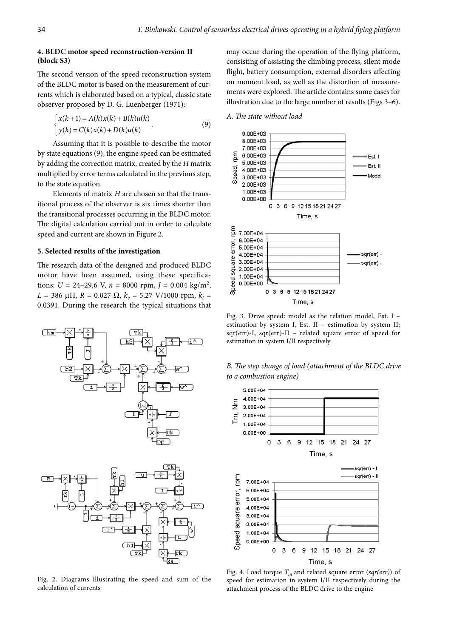#### **4. BLDC motor speed reconstruction-version II (block S3)**

The second version of the speed reconstruction system of the BLDC motor is based on the measurement of currents which is elaborated based on a typical, classic state observer proposed by D. G. Luenberger (1971):

$$
\begin{cases} x(k+1) = A(k)x(k) + B(k)u(k) \\ y(k) = C(k)x(k) + D(k)u(k) \end{cases}
$$
\n(9)

Assuming that it is possible to describe the motor by state equations (9), the engine speed can be estimated by adding the correction matrix, created by the *H* matrix multiplied by error terms calculated in the previous step, to the state equation.

Elements of matrix *H* are chosen so that the transitional process of the observer is six times shorter than the transitional processes occurring in the BLDC motor. The digital calculation carried out in order to calculate speed and current are shown in Figure 2.

#### **5. Selected results of the investigation**

The research data of the designed and produced BLDC motor have been assumed, using these specifications:  $U = 24 - 29.6$  V,  $n = 8000$  rpm,  $J = 0.004$  kg/m<sup>2</sup>,  $L = 386 \mu H$ ,  $R = 0.027 \Omega$ ,  $k_e = 5.27 \text{ V}/1000 \text{ rpm}$ ,  $k_t =$ 0.0391. During the research the typical situations that



Fig. 2. Diagrams illustrating the speed and sum of the calculation of currents

may occur during the operation of the flying platform, consisting of assisting the climbing process, silent mode flight, battery consumption, external disorders affecting on moment load, as well as the distortion of measurements were explored. The article contains some cases for illustration due to the large number of results (Figs 3–6).

*A. The state without load*



Fig. 3. Drive speed: model as the relation model, Est. I – estimation by system I, Est. II - estimation by system II; sqr(err)-I, sqr(err)-II – related square error of speed for estimation in system I/II respectively





Fig. 4. Load torque  $T_m$  and related square error (sqr(err)) of speed for estimation in system I/II respectively during the attachment process of the BLDC drive to the engine